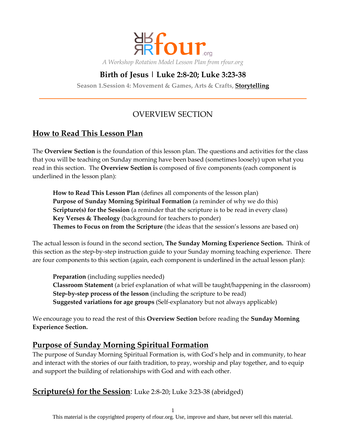

# **Birth of Jesus | Luke 2:8-20; Luke 3:23-38**

**Season 1.Session 4: Movement & Games, Arts & Crafts, Storytelling**

# OVERVIEW SECTION

## **How to Read This Lesson Plan**

The **Overview Section** is the foundation of this lesson plan. The questions and activities for the class that you will be teaching on Sunday morning have been based (sometimes loosely) upon what you read in this section. The **Overview Section i**s composed of five components (each component is underlined in the lesson plan):

**How to Read This Lesson Plan** (defines all components of the lesson plan) **Purpose of Sunday Morning Spiritual Formation** (a reminder of why we do this) **Scripture(s) for the Session** (a reminder that the scripture is to be read in every class) **Key Verses & Theology** (background for teachers to ponder) **Themes to Focus on from the Scripture** (the ideas that the session's lessons are based on)

The actual lesson is found in the second section, **The Sunday Morning Experience Section.** Think of this section as the step-by-step instruction guide to your Sunday morning teaching experience. There are four components to this section (again, each component is underlined in the actual lesson plan):

**Preparation** (including supplies needed) **Classroom Statement** (a brief explanation of what will be taught/happening in the classroom) **Step-by-step process of the lesson** (including the scripture to be read) **Suggested variations for age groups** (Self-explanatory but not always applicable)

We encourage you to read the rest of this **Overview Section** before reading the **Sunday Morning Experience Section.**

## **Purpose of Sunday Morning Spiritual Formation**

The purpose of Sunday Morning Spiritual Formation is, with God's help and in community, to hear and interact with the stories of our faith tradition, to pray, worship and play together, and to equip and support the building of relationships with God and with each other.

## **Scripture(s) for the Session**: Luke 2:8-20; Luke 3:23-38 (abridged)

1

This material is the copyrighted property of rfour.org. Use, improve and share, but never sell this material.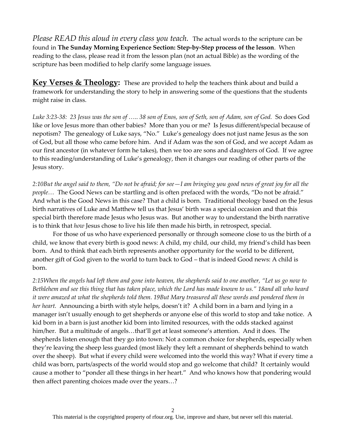*Please READ this aloud in every class you teach.* The actual words to the scripture can be found in **The Sunday Morning Experience Section: Step-by-Step process of the lesson**. When reading to the class, please read it from the lesson plan (not an actual Bible) as the wording of the scripture has been modified to help clarify some language issues.

**Key Verses & Theology:** These are provided to help the teachers think about and build a framework for understanding the story to help in answering some of the questions that the students might raise in class.

*Luke 3:23-38: 23 Jesus was the son of <.. 38 son of Enos, son of Seth, son of Adam, son of God.* So does God like or love Jesus more than other babies? More than you or me? Is Jesus different/special because of nepotism? The genealogy of Luke says, "No." Luke's genealogy does not just name Jesus as the son of God, but all those who came before him. And if Adam was the son of God, and we accept Adam as our first ancestor (in whatever form he takes), then we too are sons and daughters of God. If we agree to this reading/understanding of Luke's genealogy, then it changes our reading of other parts of the Jesus story.

*2:10But the angel said to them, "Do not be afraid; for see—I am bringing you good news of great joy for all the*  people... The Good News can be startling and is often prefaced with the words, "Do not be afraid." And what is the Good News in this case? That a child is born. Traditional theology based on the Jesus birth narratives of Luke and Matthew tell us that Jesus' birth was a special occasion and that this special birth therefore made Jesus who Jesus was. But another way to understand the birth narrative is to think that *how* Jesus chose to live his life then made his birth, in retrospect, special.

For those of us who have experienced personally or through someone close to us the birth of a child, we know that every birth is good news: A child, my child, our child, my friend's child has been born. And to think that each birth represents another opportunity for the world to be different, another gift of God given to the world to turn back to God – that is indeed Good news: A child is born.

*2:15When the angels had left them and gone into heaven, the shepherds said to one another, "Let us go now to Bethlehem and see this thing that has taken place, which the Lord has made known to us." 18and all who heard it were amazed at what the shepherds told them. 19But Mary treasured all these words and pondered them in her heart.* Announcing a birth with style helps, doesn't it? A child born in a barn and lying in a manager isn't usually enough to get shepherds or anyone else of this world to stop and take notice. A kid born in a barn is just another kid born into limited resources, with the odds stacked against him/her. But a multitude of angels...that'll get at least someone's attention. And it does. The shepherds listen enough that they go into town: Not a common choice for shepherds, especially when they're leaving the sheep less guarded (most likely they left a remnant of shepherds behind to watch over the sheep). But what if every child were welcomed into the world this way? What if every time a child was born, parts/aspects of the world would stop and go welcome that child? It certainly would cause a mother to "ponder all these things in her heart." And who knows how that pondering would then affect parenting choices made over the years...?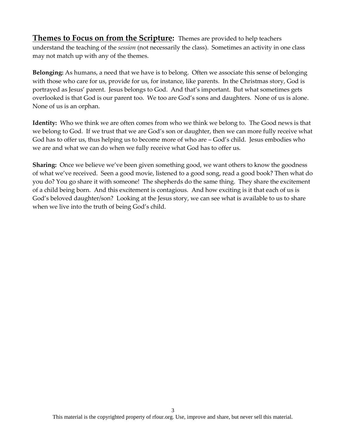**Themes to Focus on from the Scripture:** Themes are provided to help teachers understand the teaching of the *session* (not necessarily the class). Sometimes an activity in one class may not match up with any of the themes.

**Belonging:** As humans, a need that we have is to belong. Often we associate this sense of belonging with those who care for us, provide for us, for instance, like parents. In the Christmas story, God is portrayed as Jesus' parent. Jesus belongs to God. And that's important. But what sometimes gets overlooked is that God is our parent too. We too are God's sons and daughters. None of us is alone. None of us is an orphan.

**Identity:** Who we think we are often comes from who we think we belong to. The Good news is that we belong to God. If we trust that we are God's son or daughter, then we can more fully receive what God has to offer us, thus helping us to become more of who are – God's child. Jesus embodies who we are and what we can do when we fully receive what God has to offer us.

**Sharing:** Once we believe we've been given something good, we want others to know the goodness of what we've received. Seen a good movie, listened to a good song, read a good book? Then what do you do? You go share it with someone! The shepherds do the same thing. They share the excitement of a child being born. And this excitement is contagious. And how exciting is it that each of us is God's beloved daughter/son? Looking at the Jesus story, we can see what is available to us to share when we live into the truth of being God's child.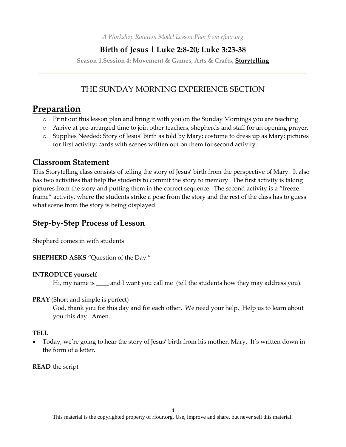*A Workshop Rotation Model Lesson Plan from rfour.org*

## **Birth of Jesus | Luke 2:8-20; Luke 3:23-38**

**Season 1.Session 4: Movement & Games, Arts & Crafts, Storytelling**

# THE SUNDAY MORNING EXPERIENCE SECTION

# **Preparation**

- o Print out this lesson plan and bring it with you on the Sunday Mornings you are teaching
- o Arrive at pre-arranged time to join other teachers, shepherds and staff for an opening prayer.
- o Supplies Needed: Story of Jesus' birth as told by Mary; costume to dress up as Mary; pictures for first activity; cards with scenes written out on them for second activity.

## **Classroom Statement**

This Storytelling class consists of telling the story of Jesus' birth from the perspective of Mary. It also has two activities that help the students to commit the story to memory. The first activity is taking pictures from the story and putting them in the correct sequence. The second activity is a "freezeframe" activity, where the students strike a pose from the story and the rest of the class has to guess what scene from the story is being displayed.

## **Step-by-Step Process of Lesson**

Shepherd comes in with students

**SHEPHERD ASKS** "Question of the Day."

### **INTRODUCE yourself**

Hi, my name is \_\_\_\_\_ and I want you call me (tell the students how they may address you).

#### **PRAY** (Short and simple is perfect)

God, thank you for this day and for each other. We need your help. Help us to learn about you this day. Amen.

### **TELL**

• Today, we're going to hear the story of Jesus' birth from his mother, Mary. It's written down in the form of a letter.

**READ** the script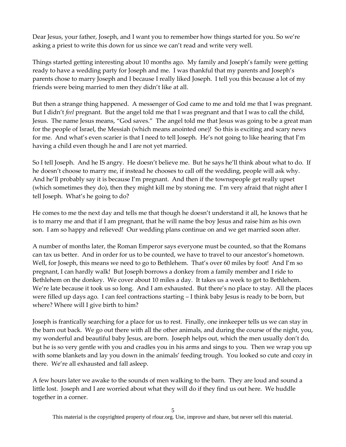Dear Jesus, your father, Joseph, and I want you to remember how things started for you. So we're asking a priest to write this down for us since we can't read and write very well.

Things started getting interesting about 10 months ago. My family and Joseph's family were getting ready to have a wedding party for Joseph and me. I was thankful that my parents and Joseph's parents chose to marry Joseph and I because I really liked Joseph. I tell you this because a lot of my friends were being married to men they didn't like at all.

But then a strange thing happened. A messenger of God came to me and told me that I was pregnant. But I didn't *feel* pregnant. But the angel told me that I was pregnant and that I was to call the child, Jesus. The name Jesus means, "God saves." The angel told me that Jesus was going to be a great man for the people of Israel, the Messiah (which means anointed one)! So this is exciting and scary news for me. And what's even scarier is that I need to tell Joseph. He's not going to like hearing that I'm having a child even though he and I are not yet married.

So I tell Joseph. And he IS angry. He doesn't believe me. But he says he'll think about what to do. If he doesn't choose to marry me, if instead he chooses to call off the wedding, people will ask why. And he'll probably say it is because I'm pregnant. And then if the townspeople get really upset (which sometimes they do), then they might kill me by stoning me. I'm very afraid that night after I tell Joseph. What's he going to do?

He comes to me the next day and tells me that though he doesn't understand it all, he knows that he is to marry me and that if I am pregnant, that he will name the boy Jesus and raise him as his own son. I am so happy and relieved! Our wedding plans continue on and we get married soon after.

A number of months later, the Roman Emperor says everyone must be counted, so that the Romans can tax us better. And in order for us to be counted, we have to travel to our ancestor's hometown. Well, for Joseph, this means we need to go to Bethlehem. That's over 60 miles by foot! And I'm so pregnant, I can hardly walk! But Joseph borrows a donkey from a family member and I ride to Bethlehem on the donkey. We cover about 10 miles a day. It takes us a week to get to Bethlehem. We're late because it took us so long. And I am exhausted. But there's no place to stay. All the places were filled up days ago. I can feel contractions starting – I think baby Jesus is ready to be born, but where? Where will I give birth to him?

Joseph is frantically searching for a place for us to rest. Finally, one innkeeper tells us we can stay in the barn out back. We go out there with all the other animals, and during the course of the night, you, my wonderful and beautiful baby Jesus, are born. Joseph helps out, which the men usually don't do, but he is so very gentle with you and cradles you in his arms and sings to you. Then we wrap you up with some blankets and lay you down in the animals' feeding trough. You looked so cute and cozy in there. We're all exhausted and fall asleep.

A few hours later we awake to the sounds of men walking to the barn. They are loud and sound a little lost. Joseph and I are worried about what they will do if they find us out here. We huddle together in a corner.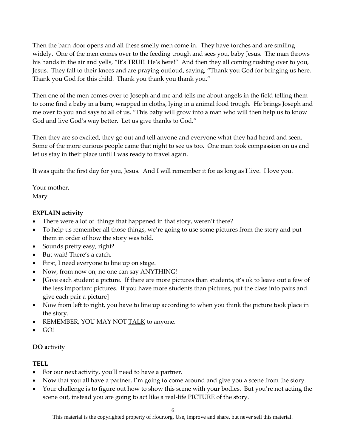Then the barn door opens and all these smelly men come in. They have torches and are smiling widely. One of the men comes over to the feeding trough and sees you, baby Jesus. The man throws his hands in the air and yells, "It's TRUE! He's here!" And then they all coming rushing over to you, Jesus. They fall to their knees and are praying outloud, saying, "Thank you God for bringing us here. Thank you God for this child. Thank you thank you thank you."

Then one of the men comes over to Joseph and me and tells me about angels in the field telling them to come find a baby in a barn, wrapped in cloths, lying in a animal food trough. He brings Joseph and me over to you and says to all of us, "This baby will grow into a man who will then help us to know God and live God's way better. Let us give thanks to God."

Then they are so excited, they go out and tell anyone and everyone what they had heard and seen. Some of the more curious people came that night to see us too. One man took compassion on us and let us stay in their place until I was ready to travel again.

It was quite the first day for you, Jesus. And I will remember it for as long as I live. I love you.

Your mother, Mary

## **EXPLAIN activity**

- There were a lot of things that happened in that story, weren't there?
- To help us remember all those things, we're going to use some pictures from the story and put them in order of how the story was told.
- Sounds pretty easy, right?
- But wait! There's a catch.
- First, I need everyone to line up on stage.
- Now, from now on, no one can say ANYTHING!
- [Give each student a picture. If there are more pictures than students, it's ok to leave out a few of the less important pictures. If you have more students than pictures, put the class into pairs and give each pair a picture]
- Now from left to right, you have to line up according to when you think the picture took place in the story.
- REMEMBER, YOU MAY NOT TALK to anyone.
- GO!

### **DO a**ctivity

### **TELL**

- For our next activity, you'll need to have a partner.
- Now that you all have a partner, I'm going to come around and give you a scene from the story.
- Your challenge is to figure out how to show this scene with your bodies. But you're not acting the scene out, instead you are going to act like a real-life PICTURE of the story.